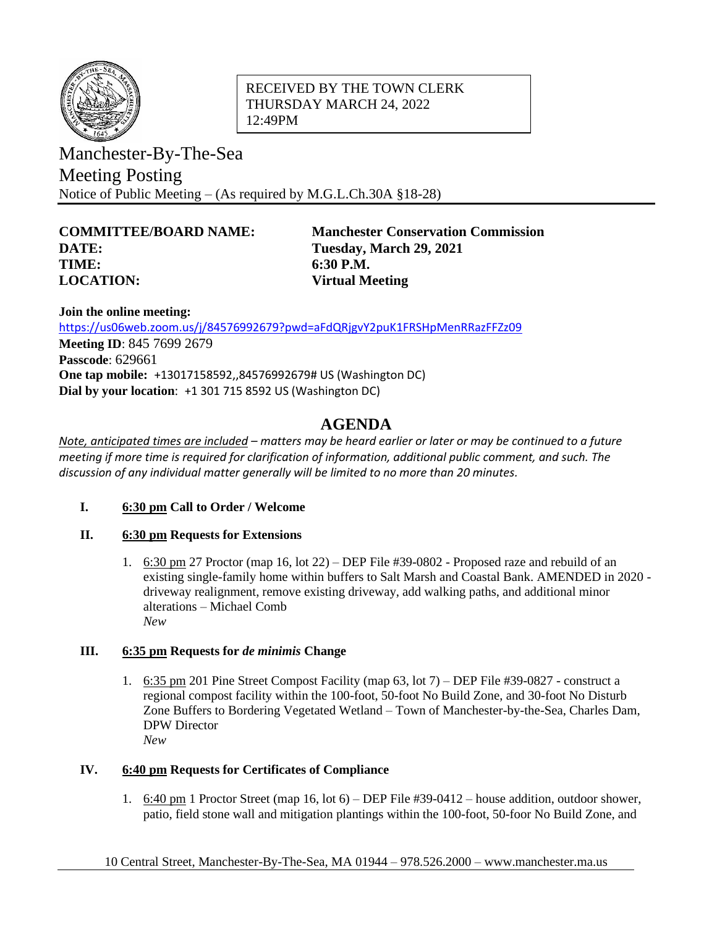

### RECEIVED BY THE TOWN CLERK THURSDAY MARCH 24, 2022 12:49PM

Manchester-By-The-Sea Meeting Posting Notice of Public Meeting – (As required by M.G.L.Ch.30A §18-28)

# **DATE: Tuesday, March 29, 2021 TIME: 6:30 P.M. LOCATION: Virtual Meeting**

**COMMITTEE/BOARD NAME: Manchester Conservation Commission**

**Join the online meeting:** <https://us06web.zoom.us/j/84576992679?pwd=aFdQRjgvY2puK1FRSHpMenRRazFFZz09> **Meeting ID**: 845 7699 2679 **Passcode**: 629661 **One tap mobile:** +13017158592,,84576992679# US (Washington DC) **Dial by your location**: +1 301 715 8592 US (Washington DC)

## **AGENDA**

*Note, anticipated times are included – matters may be heard earlier or later or may be continued to a future meeting if more time is required for clarification of information, additional public comment, and such. The discussion of any individual matter generally will be limited to no more than 20 minutes.*

## **I. 6:30 pm Call to Order / Welcome**

## **II. 6:30 pm Requests for Extensions**

1. 6:30 pm 27 Proctor (map 16, lot 22) – DEP File #39-0802 - Proposed raze and rebuild of an existing single-family home within buffers to Salt Marsh and Coastal Bank. AMENDED in 2020 driveway realignment, remove existing driveway, add walking paths, and additional minor alterations – Michael Comb *New*

## **III. 6:35 pm Requests for** *de minimis* **Change**

1. 6:35 pm 201 Pine Street Compost Facility (map 63, lot 7) – DEP File #39-0827 - construct a regional compost facility within the 100-foot, 50-foot No Build Zone, and 30-foot No Disturb Zone Buffers to Bordering Vegetated Wetland – Town of Manchester-by-the-Sea, Charles Dam, DPW Director *New*

## **IV. 6:40 pm Requests for Certificates of Compliance**

1. 6:40 pm 1 Proctor Street (map 16, lot 6) – DEP File #39-0412 – house addition, outdoor shower, patio, field stone wall and mitigation plantings within the 100-foot, 50-foor No Build Zone, and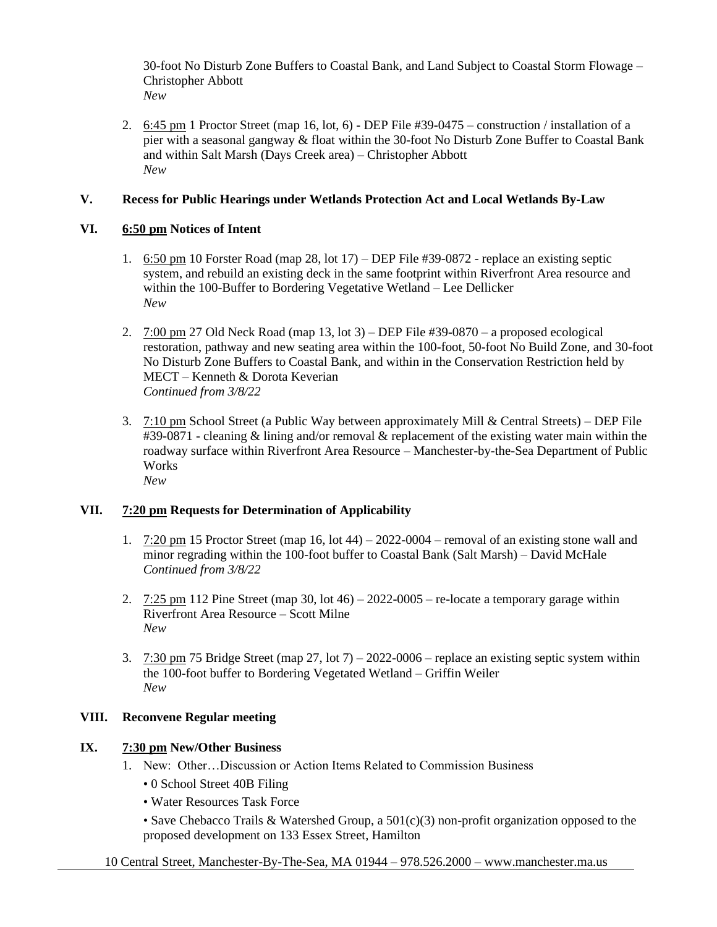30-foot No Disturb Zone Buffers to Coastal Bank, and Land Subject to Coastal Storm Flowage – Christopher Abbott *New*

2. 6:45 pm 1 Proctor Street (map 16, lot, 6) - DEP File #39-0475 – construction / installation of a pier with a seasonal gangway & float within the 30-foot No Disturb Zone Buffer to Coastal Bank and within Salt Marsh (Days Creek area) – Christopher Abbott *New*

#### **V. Recess for Public Hearings under Wetlands Protection Act and Local Wetlands By-Law**

#### **VI. 6:50 pm Notices of Intent**

- 1. 6:50 pm 10 Forster Road (map 28, lot 17) DEP File #39-0872 replace an existing septic system, and rebuild an existing deck in the same footprint within Riverfront Area resource and within the 100-Buffer to Bordering Vegetative Wetland – Lee Dellicker *New*
- 2. 7:00 pm 27 Old Neck Road (map 13, lot 3) DEP File #39-0870 a proposed ecological restoration, pathway and new seating area within the 100-foot, 50-foot No Build Zone, and 30-foot No Disturb Zone Buffers to Coastal Bank, and within in the Conservation Restriction held by MECT – Kenneth & Dorota Keverian *Continued from 3/8/22*
- 3.  $7:10 \text{ pm}$  School Street (a Public Way between approximately Mill & Central Streets) DEP File #39-0871 - cleaning & lining and/or removal & replacement of the existing water main within the roadway surface within Riverfront Area Resource – Manchester-by-the-Sea Department of Public **Works** *New*

#### **VII. 7:20 pm Requests for Determination of Applicability**

- 1.  $7:20 \text{ pm } 15$  Proctor Street (map 16, lot 44) 2022-0004 removal of an existing stone wall and minor regrading within the 100-foot buffer to Coastal Bank (Salt Marsh) – David McHale *Continued from 3/8/22*
- 2.  $7:25$  pm 112 Pine Street (map 30, lot 46) 2022-0005 re-locate a temporary garage within Riverfront Area Resource – Scott Milne *New*
- 3.  $7:30 \text{ pm } 75 \text{ Bridge Street (map } 27, 10t \text{ 7}) 2022 0006 \text{replace an existing septic system within}$ the 100-foot buffer to Bordering Vegetated Wetland – Griffin Weiler *New*

#### **VIII. Reconvene Regular meeting**

#### **IX. 7:30 pm New/Other Business**

- 1. New: Other…Discussion or Action Items Related to Commission Business
	- 0 School Street 40B Filing
	- Water Resources Task Force
	- Save Chebacco Trails & Watershed Group, a 501(c)(3) non-profit organization opposed to the proposed development on 133 Essex Street, Hamilton

10 Central Street, Manchester-By-The-Sea, MA 01944 – 978.526.2000 – www.manchester.ma.us